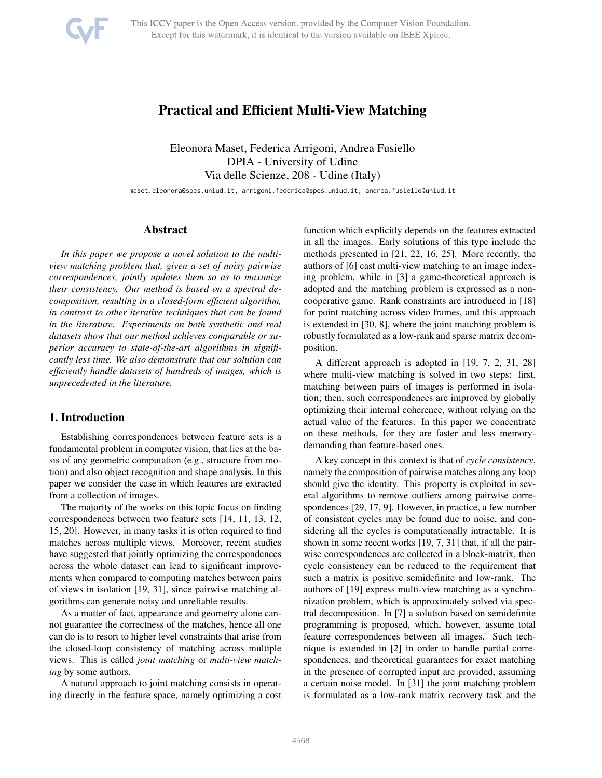

# Practical and Efficient Multi-View Matching

Eleonora Maset, Federica Arrigoni, Andrea Fusiello DPIA - University of Udine Via delle Scienze, 208 - Udine (Italy)

maset.eleonora@spes.uniud.it, arrigoni.federica@spes.uniud.it, andrea.fusiello@uniud.it

# Abstract

*In this paper we propose a novel solution to the multiview matching problem that, given a set of noisy pairwise correspondences, jointly updates them so as to maximize their consistency. Our method is based on a spectral decomposition, resulting in a closed-form efficient algorithm, in contrast to other iterative techniques that can be found in the literature. Experiments on both synthetic and real datasets show that our method achieves comparable or superior accuracy to state-of-the-art algorithms in significantly less time. We also demonstrate that our solution can efficiently handle datasets of hundreds of images, which is unprecedented in the literature.*

### 1. Introduction

Establishing correspondences between feature sets is a fundamental problem in computer vision, that lies at the basis of any geometric computation (e.g., structure from motion) and also object recognition and shape analysis. In this paper we consider the case in which features are extracted from a collection of images.

The majority of the works on this topic focus on finding correspondences between two feature sets [14, 11, 13, 12, 15, 20]. However, in many tasks it is often required to find matches across multiple views. Moreover, recent studies have suggested that jointly optimizing the correspondences across the whole dataset can lead to significant improvements when compared to computing matches between pairs of views in isolation [19, 31], since pairwise matching algorithms can generate noisy and unreliable results.

As a matter of fact, appearance and geometry alone cannot guarantee the correctness of the matches, hence all one can do is to resort to higher level constraints that arise from the closed-loop consistency of matching across multiple views. This is called *joint matching* or *multi-view matching* by some authors.

A natural approach to joint matching consists in operating directly in the feature space, namely optimizing a cost function which explicitly depends on the features extracted in all the images. Early solutions of this type include the methods presented in [21, 22, 16, 25]. More recently, the authors of [6] cast multi-view matching to an image indexing problem, while in [3] a game-theoretical approach is adopted and the matching problem is expressed as a noncooperative game. Rank constraints are introduced in [18] for point matching across video frames, and this approach is extended in [30, 8], where the joint matching problem is robustly formulated as a low-rank and sparse matrix decomposition.

A different approach is adopted in [19, 7, 2, 31, 28] where multi-view matching is solved in two steps: first, matching between pairs of images is performed in isolation; then, such correspondences are improved by globally optimizing their internal coherence, without relying on the actual value of the features. In this paper we concentrate on these methods, for they are faster and less memorydemanding than feature-based ones.

A key concept in this context is that of *cycle consistency*, namely the composition of pairwise matches along any loop should give the identity. This property is exploited in several algorithms to remove outliers among pairwise correspondences [29, 17, 9]. However, in practice, a few number of consistent cycles may be found due to noise, and considering all the cycles is computationally intractable. It is shown in some recent works [19, 7, 31] that, if all the pairwise correspondences are collected in a block-matrix, then cycle consistency can be reduced to the requirement that such a matrix is positive semidefinite and low-rank. The authors of [19] express multi-view matching as a synchronization problem, which is approximately solved via spectral decomposition. In [7] a solution based on semidefinite programming is proposed, which, however, assume total feature correspondences between all images. Such technique is extended in [2] in order to handle partial correspondences, and theoretical guarantees for exact matching in the presence of corrupted input are provided, assuming a certain noise model. In [31] the joint matching problem is formulated as a low-rank matrix recovery task and the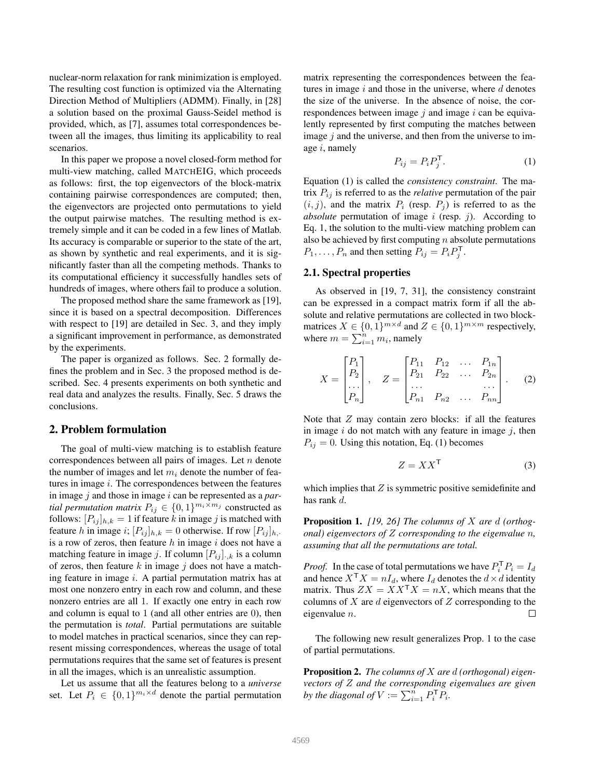nuclear-norm relaxation for rank minimization is employed. The resulting cost function is optimized via the Alternating Direction Method of Multipliers (ADMM). Finally, in [28] a solution based on the proximal Gauss-Seidel method is provided, which, as [7], assumes total correspondences between all the images, thus limiting its applicability to real scenarios.

In this paper we propose a novel closed-form method for multi-view matching, called MATCHEIG, which proceeds as follows: first, the top eigenvectors of the block-matrix containing pairwise correspondences are computed; then, the eigenvectors are projected onto permutations to yield the output pairwise matches. The resulting method is extremely simple and it can be coded in a few lines of Matlab. Its accuracy is comparable or superior to the state of the art, as shown by synthetic and real experiments, and it is significantly faster than all the competing methods. Thanks to its computational efficiency it successfully handles sets of hundreds of images, where others fail to produce a solution.

The proposed method share the same framework as [19], since it is based on a spectral decomposition. Differences with respect to [19] are detailed in Sec. 3, and they imply a significant improvement in performance, as demonstrated by the experiments.

The paper is organized as follows. Sec. 2 formally defines the problem and in Sec. 3 the proposed method is described. Sec. 4 presents experiments on both synthetic and real data and analyzes the results. Finally, Sec. 5 draws the conclusions.

## 2. Problem formulation

The goal of multi-view matching is to establish feature correspondences between all pairs of images. Let  $n$  denote the number of images and let  $m_i$  denote the number of features in image  $i$ . The correspondences between the features in image j and those in image i can be represented as a *partial permutation matrix*  $P_{ij} \in \{0,1\}^{m_i \times m_j}$  constructed as follows:  $[P_{ij}]_{h,k} = 1$  if feature k in image j is matched with feature h in image i;  $[P_{ij}]_{h,k} = 0$  otherwise. If row  $[P_{ij}]_{h,k}$ is a row of zeros, then feature  $h$  in image  $i$  does not have a matching feature in image j. If column  $[P_{ij}]_{:,k}$  is a column of zeros, then feature  $k$  in image  $j$  does not have a matching feature in image i. A partial permutation matrix has at most one nonzero entry in each row and column, and these nonzero entries are all 1. If exactly one entry in each row and column is equal to 1 (and all other entries are 0), then the permutation is *total*. Partial permutations are suitable to model matches in practical scenarios, since they can represent missing correspondences, whereas the usage of total permutations requires that the same set of features is present in all the images, which is an unrealistic assumption.

Let us assume that all the features belong to a *universe* set. Let  $P_i \in \{0,1\}^{m_i \times d}$  denote the partial permutation matrix representing the correspondences between the features in image  $i$  and those in the universe, where  $d$  denotes the size of the universe. In the absence of noise, the correspondences between image  $j$  and image  $i$  can be equivalently represented by first computing the matches between image  $j$  and the universe, and then from the universe to image  $i$ , namely

$$
P_{ij} = P_i P_j^{\mathsf{T}}.
$$
 (1)

Equation (1) is called the *consistency constraint*. The matrix  $P_{ij}$  is referred to as the *relative* permutation of the pair  $(i, j)$ , and the matrix  $P_i$  (resp.  $P_j$ ) is referred to as the *absolute* permutation of image  $i$  (resp.  $j$ ). According to Eq. 1, the solution to the multi-view matching problem can also be achieved by first computing  $n$  absolute permutations  $P_1, \ldots, P_n$  and then setting  $P_{ij} = P_i P_j^{\mathsf{T}}$ .

### 2.1. Spectral properties

As observed in [19, 7, 31], the consistency constraint can be expressed in a compact matrix form if all the absolute and relative permutations are collected in two blockmatrices  $X \in \{0,1\}^{m \times d}$  and  $Z \in \{0,1\}^{m \times m}$  respectively, where  $m = \sum_{i=1}^{n} m_i$ , namely

$$
X = \begin{bmatrix} P_1 \\ P_2 \\ \dots \\ P_n \end{bmatrix}, \quad Z = \begin{bmatrix} P_{11} & P_{12} & \dots & P_{1n} \\ P_{21} & P_{22} & \dots & P_{2n} \\ \dots & \dots & \dots & \dots \\ P_{n1} & P_{n2} & \dots & P_{nn} \end{bmatrix} . \tag{2}
$$

Note that  $Z$  may contain zero blocks: if all the features in image  $i$  do not match with any feature in image  $j$ , then  $P_{ij} = 0$ . Using this notation, Eq. (1) becomes

$$
Z = XX^{\mathsf{T}}
$$
 (3)

which implies that  $Z$  is symmetric positive semidefinite and has rank d.

Proposition 1. *[19, 26] The columns of* X *are* d *(orthogonal) eigenvectors of* Z *corresponding to the eigenvalue* n*, assuming that all the permutations are total.*

*Proof.* In the case of total permutations we have  $P_i^{\mathsf{T}} P_i = I_d$ and hence  $X^{\mathsf{T}} X = nI_d$ , where  $I_d$  denotes the  $d \times d$  identity matrix. Thus  $ZX = XX^{\mathsf{T}}X = nX$ , which means that the columns of X are d eigenvectors of Z corresponding to the eigenvalue n.  $\Box$ 

The following new result generalizes Prop. 1 to the case of partial permutations.

Proposition 2. *The columns of* X *are* d *(orthogonal) eigenvectors of* Z *and the corresponding eigenvalues are given by the diagonal of*  $V := \sum_{i=1}^{n} P_i^{\mathsf{T}} P_i$ .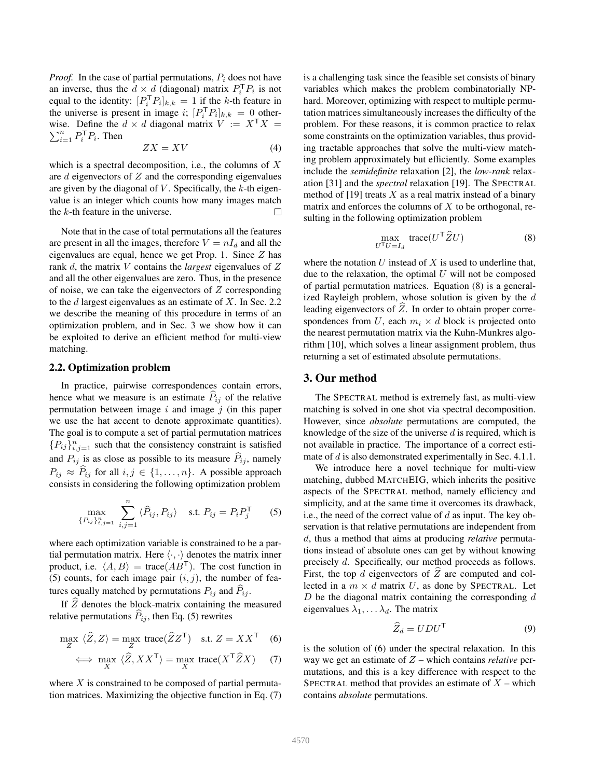*Proof.* In the case of partial permutations,  $P_i$  does not have an inverse, thus the  $d \times d$  (diagonal) matrix  $P_i^{\mathsf{T}} P_i$  is not equal to the identity:  $[P_i^{\mathsf{T}} P_i]_{k,k} = 1$  if the k-th feature in the universe is present in image i;  $[P_i^{\text{T}} P_i]_{k,k} = 0$  other- $\sum_{i=1}^n P_i^{\mathsf{T}} P_i$ . Then wise. Define the  $d \times d$  diagonal matrix  $V := X^{\mathsf{T}} X =$ 

$$
ZX = XV \tag{4}
$$

which is a spectral decomposition, i.e., the columns of  $X$ are  $d$  eigenvectors of  $Z$  and the corresponding eigenvalues are given by the diagonal of  $V$ . Specifically, the  $k$ -th eigenvalue is an integer which counts how many images match the  $k$ -th feature in the universe. □

Note that in the case of total permutations all the features are present in all the images, therefore  $V = nI_d$  and all the eigenvalues are equal, hence we get Prop. 1. Since  $Z$  has rank d, the matrix V contains the *largest* eigenvalues of Z and all the other eigenvalues are zero. Thus, in the presence of noise, we can take the eigenvectors of  $Z$  corresponding to the  $d$  largest eigenvalues as an estimate of  $X$ . In Sec. 2.2 we describe the meaning of this procedure in terms of an optimization problem, and in Sec. 3 we show how it can be exploited to derive an efficient method for multi-view matching.

### 2.2. Optimization problem

In practice, pairwise correspondences contain errors, hence what we measure is an estimate  $P_{ij}$  of the relative permutation between image  $i$  and image  $j$  (in this paper we use the hat accent to denote approximate quantities). The goal is to compute a set of partial permutation matrices  ${P_{ij}}_{i,j=1}^n$  such that the consistency constraint is satisfied and  $P_{ij}$  is as close as possible to its measure  $\hat{P}_{ij}$ , namely  $P_{ij} \approx \hat{P}_{ij}$  for all  $i, j \in \{1, ..., n\}$ . A possible approach consists in considering the following optimization problem

$$
\max_{\{P_{ij}\}_{i,j=1}^n} \sum_{i,j=1}^n \langle \widehat{P}_{ij}, P_{ij} \rangle \quad \text{s.t. } P_{ij} = P_i P_j^{\mathsf{T}} \tag{5}
$$

where each optimization variable is constrained to be a partial permutation matrix. Here  $\langle \cdot, \cdot \rangle$  denotes the matrix inner product, i.e.  $\langle A, B \rangle$  = trace( $AB^T$ ). The cost function in (5) counts, for each image pair  $(i, j)$ , the number of features equally matched by permutations  $P_{ij}$  and  $P_{ij}$ .

If  $\tilde{Z}$  denotes the block-matrix containing the measured relative permutations  $\hat{P}_{ij}$ , then Eq. (5) rewrites

$$
\max_{Z} \ \langle \widehat{Z}, Z \rangle = \max_{Z} \ \text{trace}(\widehat{Z}Z^{\mathsf{T}}) \quad \text{s.t. } Z = XX^{\mathsf{T}} \quad (6)
$$

$$
\iff \max_{X} \ \langle \widehat{Z}, XX^{\mathsf{T}} \rangle = \max_{X} \ \text{trace}(X^{\mathsf{T}} \widehat{Z} X) \tag{7}
$$

where  $X$  is constrained to be composed of partial permutation matrices. Maximizing the objective function in Eq. (7) is a challenging task since the feasible set consists of binary variables which makes the problem combinatorially NPhard. Moreover, optimizing with respect to multiple permutation matrices simultaneously increases the difficulty of the problem. For these reasons, it is common practice to relax some constraints on the optimization variables, thus providing tractable approaches that solve the multi-view matching problem approximately but efficiently. Some examples include the *semidefinite* relaxation [2], the *low-rank* relaxation [31] and the *spectral* relaxation [19]. The SPECTRAL method of  $[19]$  treats X as a real matrix instead of a binary matrix and enforces the columns of  $X$  to be orthogonal, resulting in the following optimization problem

$$
\max_{U^{\mathsf{T}}U = I_d} \text{trace}(U^{\mathsf{T}} \widehat{Z} U) \tag{8}
$$

where the notation  $U$  instead of  $X$  is used to underline that, due to the relaxation, the optimal  $U$  will not be composed of partial permutation matrices. Equation (8) is a generalized Rayleigh problem, whose solution is given by the  $d$ leading eigenvectors of  $\hat{Z}$ . In order to obtain proper correspondences from U, each  $m_i \times d$  block is projected onto the nearest permutation matrix via the Kuhn-Munkres algorithm [10], which solves a linear assignment problem, thus returning a set of estimated absolute permutations.

# 3. Our method

The SPECTRAL method is extremely fast, as multi-view matching is solved in one shot via spectral decomposition. However, since *absolute* permutations are computed, the knowledge of the size of the universe  $d$  is required, which is not available in practice. The importance of a correct estimate of d is also demonstrated experimentally in Sec. 4.1.1.

We introduce here a novel technique for multi-view matching, dubbed MATCHEIG, which inherits the positive aspects of the SPECTRAL method, namely efficiency and simplicity, and at the same time it overcomes its drawback, i.e., the need of the correct value of d as input. The key observation is that relative permutations are independent from d, thus a method that aims at producing *relative* permutations instead of absolute ones can get by without knowing precisely d. Specifically, our method proceeds as follows. First, the top d eigenvectors of  $\widehat{Z}$  are computed and collected in a  $m \times d$  matrix U, as done by SPECTRAL. Let  $D$  be the diagonal matrix containing the corresponding  $d$ eigenvalues  $\lambda_1, \ldots, \lambda_d$ . The matrix

$$
\widehat{Z}_d = UDU^{\mathsf{T}} \tag{9}
$$

is the solution of (6) under the spectral relaxation. In this way we get an estimate of Z – which contains *relative* permutations, and this is a key difference with respect to the SPECTRAL method that provides an estimate of  $X$  – which contains *absolute* permutations.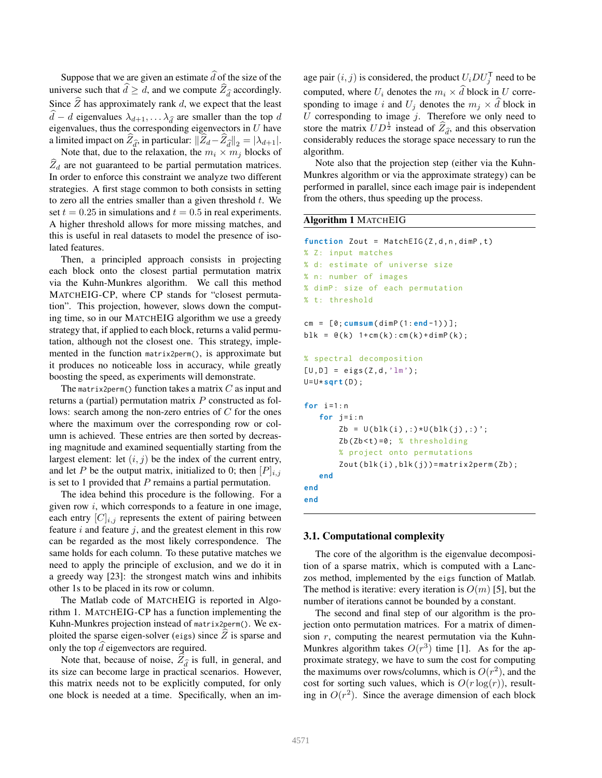Suppose that we are given an estimate  $\hat{d}$  of the size of the universe such that  $d \geq d$ , and we compute  $Z_{\widehat{d}}$  accordingly. Since  $\widehat{Z}$  has approximately rank d, we expect that the least  $d - d$  eigenvalues  $\lambda_{d+1}, \ldots \lambda_{\hat{d}}$  are smaller than the top d eigenvalues, thus the corresponding eigenvectors in  $U$  have a limited impact on  $Z_{\widehat{d}}$ , in particular:  $||Z_d - Z_{\widehat{d}}||_2 = |\lambda_{d+1}|$ .

Note that, due to the relaxation, the  $m_i \times m_j$  blocks of  $Z_d$  are not guaranteed to be partial permutation matrices. In order to enforce this constraint we analyze two different strategies. A first stage common to both consists in setting to zero all the entries smaller than a given threshold  $t$ . We set  $t = 0.25$  in simulations and  $t = 0.5$  in real experiments. A higher threshold allows for more missing matches, and this is useful in real datasets to model the presence of isolated features.

Then, a principled approach consists in projecting each block onto the closest partial permutation matrix via the Kuhn-Munkres algorithm. We call this method MATCHEIG-CP, where CP stands for "closest permutation". This projection, however, slows down the computing time, so in our MATCHEIG algorithm we use a greedy strategy that, if applied to each block, returns a valid permutation, although not the closest one. This strategy, implemented in the function matrix2perm(), is approximate but it produces no noticeable loss in accuracy, while greatly boosting the speed, as experiments will demonstrate.

The matrix2perm() function takes a matrix  $C$  as input and returns a (partial) permutation matrix P constructed as follows: search among the non-zero entries of C for the ones where the maximum over the corresponding row or column is achieved. These entries are then sorted by decreasing magnitude and examined sequentially starting from the largest element: let  $(i, j)$  be the index of the current entry, and let P be the output matrix, initialized to 0; then  $[P]_{i,j}$ is set to 1 provided that  $P$  remains a partial permutation.

The idea behind this procedure is the following. For a given row  $i$ , which corresponds to a feature in one image, each entry  $[C]_{i,j}$  represents the extent of pairing between feature  $i$  and feature  $j$ , and the greatest element in this row can be regarded as the most likely correspondence. The same holds for each column. To these putative matches we need to apply the principle of exclusion, and we do it in a greedy way [23]: the strongest match wins and inhibits other 1s to be placed in its row or column.

The Matlab code of MATCHEIG is reported in Algorithm 1. MATCHEIG-CP has a function implementing the Kuhn-Munkres projection instead of matrix2perm(). We exploited the sparse eigen-solver (eigs) since  $Z$  is sparse and only the top  $\tilde{d}$  eigenvectors are required.

Note that, because of noise,  $Z_{\hat{d}}$  is full, in general, and its size can become large in practical scenarios. However, this matrix needs not to be explicitly computed, for only one block is needed at a time. Specifically, when an im-

age pair  $(i, j)$  is considered, the product  $U_i D U_j^{\mathsf{T}}$  need to be computed, where  $U_i$  denotes the  $m_i \times \hat{d}$  block in U corresponding to image i and  $U_j$  denotes the  $m_j \times \widehat{d}$  block in U corresponding to image  $j$ . Therefore we only need to store the matrix  $UD^{\frac{1}{2}}$  instead of  $\hat{Z}_{\hat{d}}$ , and this observation considerably reduces the storage space necessary to run the algorithm.

Note also that the projection step (either via the Kuhn-Munkres algorithm or via the approximate strategy) can be performed in parallel, since each image pair is independent from the others, thus speeding up the process.

### Algorithm 1 MATCHEIG

```
function Zout = MatchEIG(Z,d,n,dimP,t)
% Z: input matches
% d: estimate of universe size
% n: number of images
% dimP : size of each permutation
% t: threshold
cm = [0; cumsum ( dimP (1: end -1) ) ];
blk = \mathfrak{e}(k) 1+cm(k): cm(k)+dimP(k);
% spectral decomposition
[U, D] = eigS(Z, d, 'lm');U=U* sqrt (D);
for i = 1:nfor j=i:n
       Zb = U(blk(i),:) *U(blk(j),:);
       Zb(Zb < t) = 0; % thresholding
       % project onto permutations
        Zout(blk(i), blk(j)) = matrix2perm(Zb);
   end
end
end
```
### 3.1. Computational complexity

The core of the algorithm is the eigenvalue decomposition of a sparse matrix, which is computed with a Lanczos method, implemented by the eigs function of Matlab. The method is iterative: every iteration is  $O(m)$  [5], but the number of iterations cannot be bounded by a constant.

The second and final step of our algorithm is the projection onto permutation matrices. For a matrix of dimension  $r$ , computing the nearest permutation via the Kuhn-Munkres algorithm takes  $O(r^3)$  time [1]. As for the approximate strategy, we have to sum the cost for computing the maximums over rows/columns, which is  $O(r^2)$ , and the cost for sorting such values, which is  $O(r \log(r))$ , resulting in  $O(r^2)$ . Since the average dimension of each block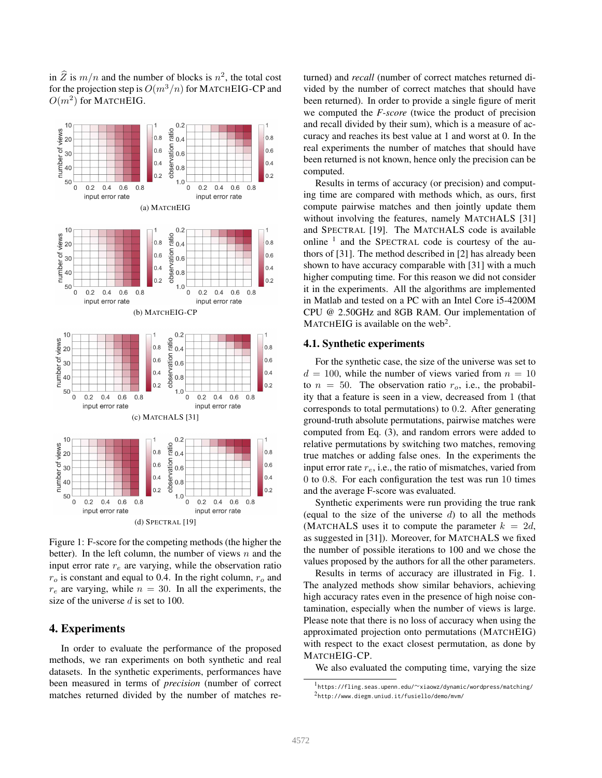in  $\widehat{Z}$  is  $m/n$  and the number of blocks is  $n^2$ , the total cost for the projection step is  $O(m^3/n)$  for MATCHEIG-CP and  $O(m^2)$  for MATCHEIG.



Figure 1: F-score for the competing methods (the higher the better). In the left column, the number of views  $n$  and the input error rate  $r_e$  are varying, while the observation ratio  $r<sub>o</sub>$  is constant and equal to 0.4. In the right column,  $r<sub>o</sub>$  and  $r_e$  are varying, while  $n = 30$ . In all the experiments, the size of the universe  $d$  is set to 100.

# 4. Experiments

In order to evaluate the performance of the proposed methods, we ran experiments on both synthetic and real datasets. In the synthetic experiments, performances have been measured in terms of *precision* (number of correct matches returned divided by the number of matches returned) and *recall* (number of correct matches returned divided by the number of correct matches that should have been returned). In order to provide a single figure of merit we computed the *F-score* (twice the product of precision and recall divided by their sum), which is a measure of accuracy and reaches its best value at 1 and worst at 0. In the real experiments the number of matches that should have been returned is not known, hence only the precision can be computed.

Results in terms of accuracy (or precision) and computing time are compared with methods which, as ours, first compute pairwise matches and then jointly update them without involving the features, namely MATCHALS [31] and SPECTRAL [19]. The MATCHALS code is available online  $<sup>1</sup>$  and the SPECTRAL code is courtesy of the au-</sup> thors of [31]. The method described in [2] has already been shown to have accuracy comparable with [31] with a much higher computing time. For this reason we did not consider it in the experiments. All the algorithms are implemented in Matlab and tested on a PC with an Intel Core i5-4200M CPU @ 2.50GHz and 8GB RAM. Our implementation of MATCHEIG is available on the web<sup>2</sup>.

### 4.1. Synthetic experiments

For the synthetic case, the size of the universe was set to  $d = 100$ , while the number of views varied from  $n = 10$ to  $n = 50$ . The observation ratio  $r<sub>o</sub>$ , i.e., the probability that a feature is seen in a view, decreased from 1 (that corresponds to total permutations) to 0.2. After generating ground-truth absolute permutations, pairwise matches were computed from Eq. (3), and random errors were added to relative permutations by switching two matches, removing true matches or adding false ones. In the experiments the input error rate  $r_e$ , i.e., the ratio of mismatches, varied from 0 to 0.8. For each configuration the test was run 10 times and the average F-score was evaluated.

Synthetic experiments were run providing the true rank (equal to the size of the universe  $d$ ) to all the methods (MATCHALS uses it to compute the parameter  $k = 2d$ , as suggested in [31]). Moreover, for MATCHALS we fixed the number of possible iterations to 100 and we chose the values proposed by the authors for all the other parameters.

Results in terms of accuracy are illustrated in Fig. 1. The analyzed methods show similar behaviors, achieving high accuracy rates even in the presence of high noise contamination, especially when the number of views is large. Please note that there is no loss of accuracy when using the approximated projection onto permutations (MATCHEIG) with respect to the exact closest permutation, as done by MATCHEIG-CP.

We also evaluated the computing time, varying the size

<sup>1</sup> https://fling.seas.upenn.edu/∼xiaowz/dynamic/wordpress/matching/ 2 http://www.diegm.uniud.it/fusiello/demo/mvm/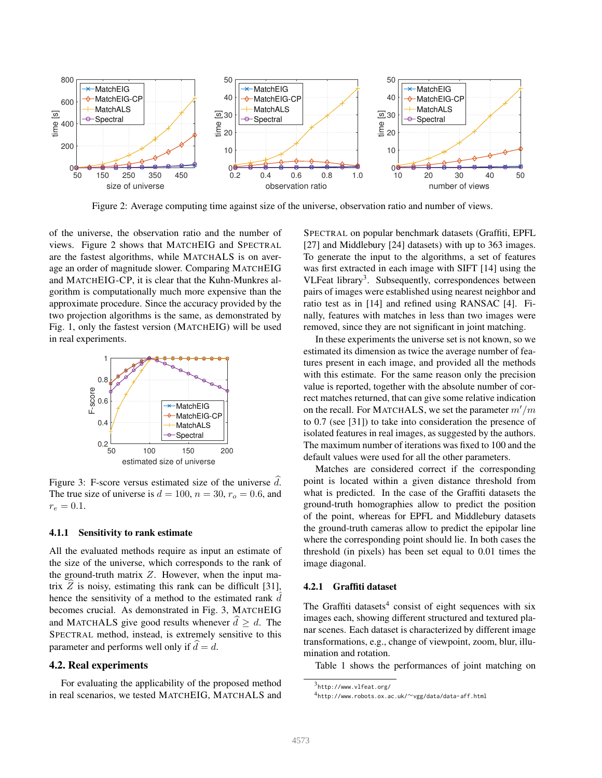

Figure 2: Average computing time against size of the universe, observation ratio and number of views.

of the universe, the observation ratio and the number of views. Figure 2 shows that MATCHEIG and SPECTRAL are the fastest algorithms, while MATCHALS is on average an order of magnitude slower. Comparing MATCHEIG and MATCHEIG-CP, it is clear that the Kuhn-Munkres algorithm is computationally much more expensive than the approximate procedure. Since the accuracy provided by the two projection algorithms is the same, as demonstrated by Fig. 1, only the fastest version (MATCHEIG) will be used in real experiments.



Figure 3: F-score versus estimated size of the universe  $d$ . The true size of universe is  $d = 100$ ,  $n = 30$ ,  $r<sub>o</sub> = 0.6$ , and  $r_e = 0.1.$ 

### 4.1.1 Sensitivity to rank estimate

All the evaluated methods require as input an estimate of the size of the universe, which corresponds to the rank of the ground-truth matrix  $Z$ . However, when the input matrix  $\overline{Z}$  is noisy, estimating this rank can be difficult [31], hence the sensitivity of a method to the estimated rank  $\overline{d}$ becomes crucial. As demonstrated in Fig. 3, MATCHEIG and MATCHALS give good results whenever  $\hat{d} \geq d$ . The SPECTRAL method, instead, is extremely sensitive to this parameter and performs well only if  $\hat{d} = d$ .

#### 4.2. Real experiments

For evaluating the applicability of the proposed method in real scenarios, we tested MATCHEIG, MATCHALS and SPECTRAL on popular benchmark datasets (Graffiti, EPFL [27] and Middlebury [24] datasets) with up to 363 images. To generate the input to the algorithms, a set of features was first extracted in each image with SIFT [14] using the VLFeat library<sup>3</sup>. Subsequently, correspondences between pairs of images were established using nearest neighbor and ratio test as in [14] and refined using RANSAC [4]. Finally, features with matches in less than two images were removed, since they are not significant in joint matching.

In these experiments the universe set is not known, so we estimated its dimension as twice the average number of features present in each image, and provided all the methods with this estimate. For the same reason only the precision value is reported, together with the absolute number of correct matches returned, that can give some relative indication on the recall. For MATCHALS, we set the parameter  $m'/m$ to 0.7 (see [31]) to take into consideration the presence of isolated features in real images, as suggested by the authors. The maximum number of iterations was fixed to 100 and the default values were used for all the other parameters.

Matches are considered correct if the corresponding point is located within a given distance threshold from what is predicted. In the case of the Graffiti datasets the ground-truth homographies allow to predict the position of the point, whereas for EPFL and Middlebury datasets the ground-truth cameras allow to predict the epipolar line where the corresponding point should lie. In both cases the threshold (in pixels) has been set equal to 0.01 times the image diagonal.

### 4.2.1 Graffiti dataset

The Graffiti datasets<sup>4</sup> consist of eight sequences with six images each, showing different structured and textured planar scenes. Each dataset is characterized by different image transformations, e.g., change of viewpoint, zoom, blur, illumination and rotation.

Table 1 shows the performances of joint matching on

<sup>3</sup> http://www.vlfeat.org/

<sup>4</sup> http://www.robots.ox.ac.uk/∼vgg/data/data-aff.html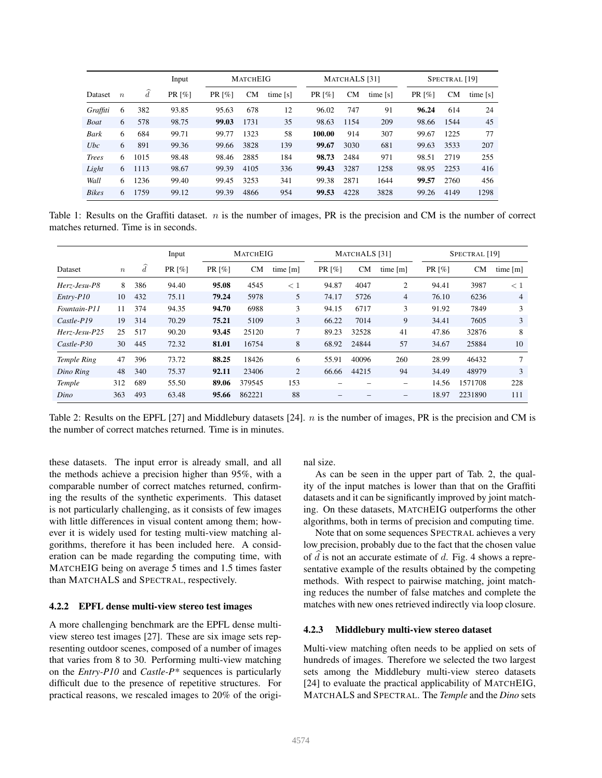|              |                  |                  | Input  | <b>MATCHEIG</b> |           |          | MATCHALS [31]        |      |          |                      | SPECTRAL <sup>[19]</sup> |          |  |
|--------------|------------------|------------------|--------|-----------------|-----------|----------|----------------------|------|----------|----------------------|--------------------------|----------|--|
| Dataset      | $\boldsymbol{n}$ | $\boldsymbol{d}$ | PR [%] | PR [%]          | <b>CM</b> | time [s] | PR $\lceil\% \rceil$ | CМ   | time [s] | PR $\lceil\% \rceil$ | <b>CM</b>                | time [s] |  |
| Graffiti     | 6                | 382              | 93.85  | 95.63           | 678       | 12       | 96.02                | 747  | 91       | 96.24                | 614                      | 24       |  |
| Boat         | 6                | 578              | 98.75  | 99.03           | 1731      | 35       | 98.63                | 1154 | 209      | 98.66                | 1544                     | 45       |  |
| Bark         | 6                | 684              | 99.71  | 99.77           | 1323      | 58       | 100.00               | 914  | 307      | 99.67                | 1225                     | 77       |  |
| $_{Ubc}$     | 6                | 891              | 99.36  | 99.66           | 3828      | 139      | 99.67                | 3030 | 681      | 99.63                | 3533                     | 207      |  |
| <b>Trees</b> | 6                | 1015             | 98.48  | 98.46           | 2885      | 184      | 98.73                | 2484 | 971      | 98.51                | 2719                     | 255      |  |
| Light        | 6                | 1113             | 98.67  | 99.39           | 4105      | 336      | 99.43                | 3287 | 1258     | 98.95                | 2253                     | 416      |  |
| Wall         | 6                | 1236             | 99.40  | 99.45           | 3253      | 341      | 99.38                | 2871 | 1644     | 99.57                | 2760                     | 456      |  |
| <b>Bikes</b> | 6                | 1759             | 99.12  | 99.39           | 4866      | 954      | 99.53                | 4228 | 3828     | 99.26                | 4149                     | 1298     |  |

Table 1: Results on the Graffiti dataset.  $n$  is the number of images, PR is the precision and CM is the number of correct matches returned. Time is in seconds.

|               |                  |                  | Input  | <b>MATCHEIG</b> |           |          | MATCHALS <sup>[31]</sup> |           |                          | SPECTRAL <sup>[19]</sup> |         |                |
|---------------|------------------|------------------|--------|-----------------|-----------|----------|--------------------------|-----------|--------------------------|--------------------------|---------|----------------|
| Dataset       | $\boldsymbol{n}$ | $\boldsymbol{d}$ | PR [%] | PR [%]          | <b>CM</b> | time [m] | PR $\lceil\% \rceil$     | <b>CM</b> | time $[m]$               | PR $\lceil\% \rceil$     | CM      | time $[m]$     |
| Herz-Jesu-P8  | 8                | 386              | 94.40  | 95.08           | 4545      | $\leq 1$ | 94.87                    | 4047      | 2                        | 94.41                    | 3987    | < 1            |
| Entry-P10     | 10               | 432              | 75.11  | 79.24           | 5978      | 5        | 74.17                    | 5726      | $\overline{4}$           | 76.10                    | 6236    | $\overline{4}$ |
| Fountain-P11  | 11               | 374              | 94.35  | 94.70           | 6988      | 3        | 94.15                    | 6717      | 3                        | 91.92                    | 7849    | 3              |
| Castle-P19    | 19               | 314              | 70.29  | 75.21           | 5109      | 3        | 66.22                    | 7014      | 9                        | 34.41                    | 7605    | 3              |
| Herz-Jesu-P25 | 25               | 517              | 90.20  | 93.45           | 25120     | 7        | 89.23                    | 32528     | 41                       | 47.86                    | 32876   | 8              |
| $Castle-P30$  | 30               | 445              | 72.32  | 81.01           | 16754     | 8        | 68.92                    | 24844     | 57                       | 34.67                    | 25884   | 10             |
| Temple Ring   | 47               | 396              | 73.72  | 88.25           | 18426     | 6        | 55.91                    | 40096     | 260                      | 28.99                    | 46432   | 7              |
| Dino Ring     | 48               | 340              | 75.37  | 92.11           | 23406     | 2        | 66.66                    | 44215     | 94                       | 34.49                    | 48979   | 3              |
| Temple        | 312              | 689              | 55.50  | 89.06           | 379545    | 153      |                          |           | $\overline{\phantom{0}}$ | 14.56                    | 1571708 | 228            |
| Dino          | 363              | 493              | 63.48  | 95.66           | 862221    | 88       |                          |           | $\qquad \qquad -$        | 18.97                    | 2231890 | 111            |

Table 2: Results on the EPFL [27] and Middlebury datasets [24]. n is the number of images, PR is the precision and CM is the number of correct matches returned. Time is in minutes.

these datasets. The input error is already small, and all the methods achieve a precision higher than 95%, with a comparable number of correct matches returned, confirming the results of the synthetic experiments. This dataset is not particularly challenging, as it consists of few images with little differences in visual content among them; however it is widely used for testing multi-view matching algorithms, therefore it has been included here. A consideration can be made regarding the computing time, with MATCHEIG being on average 5 times and 1.5 times faster than MATCHALS and SPECTRAL, respectively.

### 4.2.2 EPFL dense multi-view stereo test images

A more challenging benchmark are the EPFL dense multiview stereo test images [27]. These are six image sets representing outdoor scenes, composed of a number of images that varies from 8 to 30. Performing multi-view matching on the *Entry-P10* and *Castle-P\** sequences is particularly difficult due to the presence of repetitive structures. For practical reasons, we rescaled images to 20% of the original size.

As can be seen in the upper part of Tab. 2, the quality of the input matches is lower than that on the Graffiti datasets and it can be significantly improved by joint matching. On these datasets, MATCHEIG outperforms the other algorithms, both in terms of precision and computing time.

Note that on some sequences SPECTRAL achieves a very low precision, probably due to the fact that the chosen value of d is not an accurate estimate of d. Fig. 4 shows a representative example of the results obtained by the competing methods. With respect to pairwise matching, joint matching reduces the number of false matches and complete the matches with new ones retrieved indirectly via loop closure.

### 4.2.3 Middlebury multi-view stereo dataset

Multi-view matching often needs to be applied on sets of hundreds of images. Therefore we selected the two largest sets among the Middlebury multi-view stereo datasets [24] to evaluate the practical applicability of MATCHEIG, MATCHALS and SPECTRAL. The *Temple* and the *Dino* sets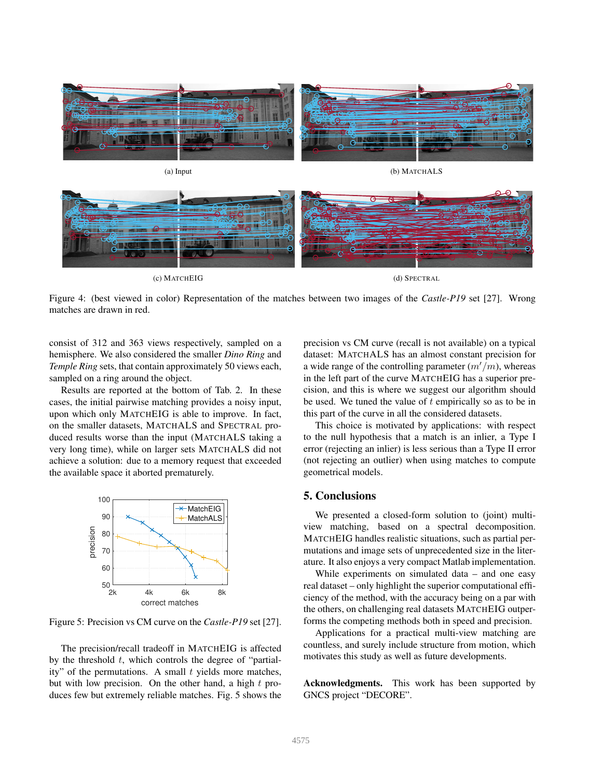

Figure 4: (best viewed in color) Representation of the matches between two images of the *Castle-P19* set [27]. Wrong matches are drawn in red.

consist of 312 and 363 views respectively, sampled on a hemisphere. We also considered the smaller *Dino Ring* and *Temple Ring* sets, that contain approximately 50 views each, sampled on a ring around the object.

Results are reported at the bottom of Tab. 2. In these cases, the initial pairwise matching provides a noisy input, upon which only MATCHEIG is able to improve. In fact, on the smaller datasets, MATCHALS and SPECTRAL produced results worse than the input (MATCHALS taking a very long time), while on larger sets MATCHALS did not achieve a solution: due to a memory request that exceeded the available space it aborted prematurely.



Figure 5: Precision vs CM curve on the *Castle-P19* set [27].

The precision/recall tradeoff in MATCHEIG is affected by the threshold  $t$ , which controls the degree of "partiality" of the permutations. A small  $t$  yields more matches, but with low precision. On the other hand, a high  $t$  produces few but extremely reliable matches. Fig. 5 shows the precision vs CM curve (recall is not available) on a typical dataset: MATCHALS has an almost constant precision for a wide range of the controlling parameter  $(m'/m)$ , whereas in the left part of the curve MATCHEIG has a superior precision, and this is where we suggest our algorithm should be used. We tuned the value of  $t$  empirically so as to be in this part of the curve in all the considered datasets.

This choice is motivated by applications: with respect to the null hypothesis that a match is an inlier, a Type I error (rejecting an inlier) is less serious than a Type II error (not rejecting an outlier) when using matches to compute geometrical models.

### 5. Conclusions

We presented a closed-form solution to (joint) multiview matching, based on a spectral decomposition. MATCHEIG handles realistic situations, such as partial permutations and image sets of unprecedented size in the literature. It also enjoys a very compact Matlab implementation.

While experiments on simulated data – and one easy real dataset – only highlight the superior computational efficiency of the method, with the accuracy being on a par with the others, on challenging real datasets MATCHEIG outperforms the competing methods both in speed and precision.

Applications for a practical multi-view matching are countless, and surely include structure from motion, which motivates this study as well as future developments.

Acknowledgments. This work has been supported by GNCS project "DECORE".